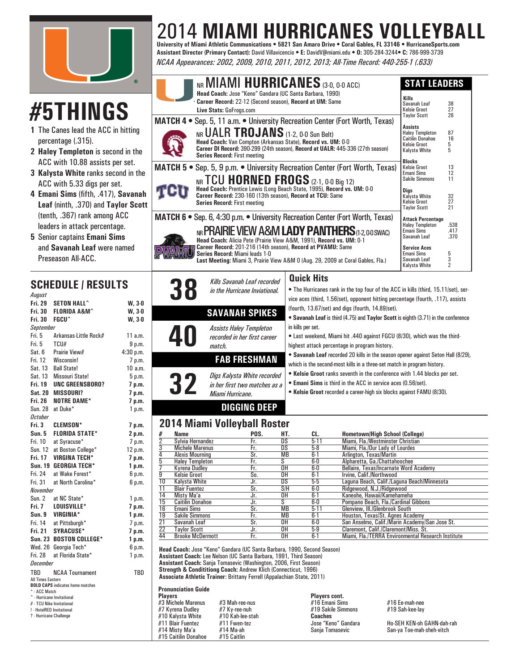

# **#5THINGS**

- **1** The Canes lead the ACC in hitting percentage (.315).
- **2 Haley Templeton** is second in the ACC with 10.88 assists per set.
- **3 Kalysta White** ranks second in the ACC with 5.33 digs per set.
- **4 Emani Sims** (fifth, .417), **Savanah Leaf** (ninth, .370) and **Taylor Scott** (tenth, .367) rank among ACC leaders in attack percentage.
- **5** Senior captains **Emani Sims** and **Savanah Leaf** were named Preseason All-ACC.

### **SCHEDULE / RESULTS**

| August                                               |                                         |           |  |  |  |  |  |  |  |  |
|------------------------------------------------------|-----------------------------------------|-----------|--|--|--|--|--|--|--|--|
| Fri. 29                                              | <b>SETON HALL^</b>                      | $W, 3-0$  |  |  |  |  |  |  |  |  |
| Fri. 30                                              | FLORIDA A&M^                            | $W, 3-0$  |  |  |  |  |  |  |  |  |
| Fri. 30                                              | <b>FGCU^</b>                            | $W, 3-0$  |  |  |  |  |  |  |  |  |
| <b>September</b>                                     |                                         |           |  |  |  |  |  |  |  |  |
| Fri. 5                                               | Arkansas-Little Rock#                   | 11a.m.    |  |  |  |  |  |  |  |  |
| Fri. 5                                               | TCU#                                    | 9 p.m.    |  |  |  |  |  |  |  |  |
| Sat. 6                                               | Prairie View#                           | 4:30 p.m. |  |  |  |  |  |  |  |  |
| Fri. 12                                              | Wisconsin!                              | 7 p.m.    |  |  |  |  |  |  |  |  |
| Sat. 13                                              | <b>Ball State!</b>                      | 10a.m.    |  |  |  |  |  |  |  |  |
| Sat. 13                                              | <b>Missouri State!</b>                  | 5 p.m.    |  |  |  |  |  |  |  |  |
| Fri. 19                                              | <b>UNC GREENSBORO?</b>                  | 7 p.m.    |  |  |  |  |  |  |  |  |
| <b>Sat. 20</b>                                       | <b>MISSOURI?</b>                        | 7 p.m.    |  |  |  |  |  |  |  |  |
| Fri. 26                                              | <b>NOTRE DAME*</b>                      | 7 p.m.    |  |  |  |  |  |  |  |  |
| Sun. 28                                              | at Duke*                                | 1 p.m.    |  |  |  |  |  |  |  |  |
| <b>October</b>                                       |                                         |           |  |  |  |  |  |  |  |  |
| Fri. 3                                               | <b>CLEMSON*</b>                         | 7 p.m.    |  |  |  |  |  |  |  |  |
| <b>Sun. 5</b>                                        | <b>FLORIDA STATE*</b>                   | 2 p.m.    |  |  |  |  |  |  |  |  |
| Fri. 10                                              | at Syracuse*                            | 7 p.m.    |  |  |  |  |  |  |  |  |
| <b>Sun. 12</b>                                       | at Boston College*                      | 12 p.m.   |  |  |  |  |  |  |  |  |
| Fri. 17                                              | <b>VIRGINA TECH*</b>                    | 7 p.m.    |  |  |  |  |  |  |  |  |
| <b>Sun. 19</b>                                       | <b>GEORGIA TECH*</b>                    | 1 p.m.    |  |  |  |  |  |  |  |  |
| Fri. 24                                              | at Wake Forest*                         | 6 p.m.    |  |  |  |  |  |  |  |  |
| Fri. 31                                              | at North Carolina*                      | 6 p.m.    |  |  |  |  |  |  |  |  |
| <b>November</b>                                      |                                         |           |  |  |  |  |  |  |  |  |
| Sun. 2                                               | at NC State*                            | 1 p.m.    |  |  |  |  |  |  |  |  |
| Fri. 7                                               | LOUISVILLE*                             | 7 p.m.    |  |  |  |  |  |  |  |  |
| Sun.9                                                | <b>VIRGINIA*</b>                        | 1 p.m.    |  |  |  |  |  |  |  |  |
|                                                      | Fri. 14 at Pittsburgh*                  | 7 p.m.    |  |  |  |  |  |  |  |  |
|                                                      | Fri. 21 SYRACUSE*                       | 7 p.m.    |  |  |  |  |  |  |  |  |
|                                                      | Sun. 23 BOSTON COLLEGE*                 | 1 p.m.    |  |  |  |  |  |  |  |  |
|                                                      | Wed. 26 Georgia Tech*                   | 6 p.m.    |  |  |  |  |  |  |  |  |
| Fri. 28                                              | at Florida State*                       | 1 p.m.    |  |  |  |  |  |  |  |  |
| December                                             |                                         |           |  |  |  |  |  |  |  |  |
| TBD                                                  | <b>NCAA Tournament</b>                  | TBD       |  |  |  |  |  |  |  |  |
| <b>All Times Eastern</b>                             |                                         |           |  |  |  |  |  |  |  |  |
| * - ACC Match                                        | <b>BOLD CAPS</b> indicates home matches |           |  |  |  |  |  |  |  |  |
| ^ - Hurricane Invitational                           |                                         |           |  |  |  |  |  |  |  |  |
| # - TCU Nike Invitational                            |                                         |           |  |  |  |  |  |  |  |  |
| ! - HotelRED Invitational<br>? - Hurricane Challenge |                                         |           |  |  |  |  |  |  |  |  |
|                                                      |                                         |           |  |  |  |  |  |  |  |  |
|                                                      |                                         |           |  |  |  |  |  |  |  |  |
|                                                      |                                         |           |  |  |  |  |  |  |  |  |

### 2014 **MIAMI HURRICANES VOLLEYBALL University of Miami Athletic Communications • 5821 San Amaro Drive • Coral Gables, FL 33146 • HurricaneSports.com**

**Assistant Director (Primary Contact):** David Villavicencio **• E:** DavidV@miami.edu **• O:** 305-284-3244**• C:** 786-999-3739 *NCAA Appearances: 2002, 2009, 2010, 2011, 2012, 2013; All-Time Record: 440-255-1 (.633)*

| #5THINGS                                                                                                                                                                            | NR MIAMI HURRICANES (3-0, 0-0 ACC)<br>Head Coach: Jose "Keno" Gandara (UC Santa Barbara, 1990)<br>Career Record: 22-12 (Second season), Record at UM: Same<br>Live Stats: GoFrogs.com                                                                                                                                                                                                                                           | <b>STAT LEADERS</b><br>Kills<br>Savanah Leaf<br>Kelsie Groot                                                                                              | 38<br>27                            |
|-------------------------------------------------------------------------------------------------------------------------------------------------------------------------------------|---------------------------------------------------------------------------------------------------------------------------------------------------------------------------------------------------------------------------------------------------------------------------------------------------------------------------------------------------------------------------------------------------------------------------------|-----------------------------------------------------------------------------------------------------------------------------------------------------------|-------------------------------------|
| 1 The Canes lead the ACC in hitting<br>percentage (.315).<br>2 Haley Templeton is second in the                                                                                     | MATCH 4 . Sep. 5, 11 a.m. . University Recreation Center (Fort Worth, Texas)<br>NR UALR TROJANS (1-2, 0-0 Sun Belt)<br>Head Coach: Van Compton (Arkansas State), Record vs. UM: 0-0<br>Career DI Record: 390-299 (24th season), Record at UALR: 445-336 (27th season)<br><b>Series Record: First meeting</b>                                                                                                                    | <b>Taylor Scott</b><br><b>Assists</b><br><b>Haley Templeton</b><br><b>Caitilin Donahoe</b><br>Kelsie Groot<br>Kalysta White                               | 26<br>87<br>16<br>5<br>5            |
| ACC with 10.88 assists per set.<br>3 Kalysta White ranks second in the<br>ACC with 5.33 digs per set.<br>4 Emani Sims (fifth, .417), Savanah<br>Leaf (ninth, .370) and Taylor Scott | MATCH 5 . Sep. 5, 9 p.m. . University Recreation Center (Fort Worth, Texas)<br>NR TCU HORNED FROGS (2-1, 0-0 Big 12)<br>Head Coach: Prentice Lewis (Long Beach State, 1995), Record vs. UM: 0-0<br>Career Record: 230-160 (13th season), Record at TCU: Same<br><b>Series Record: First meeting</b>                                                                                                                             | <b>Blocks</b><br><b>Kelsie Groot</b><br><b>Emani Sims</b><br><b>Sakile Simmons</b><br>Digs<br>Kalysta White<br><b>Kelsie Groot</b><br><b>Taylor Scott</b> | 13<br>12<br>11<br>32<br>27<br>21    |
| (tenth, .367) rank among ACC<br>leaders in attack percentage.<br>5 Senior captains Emani Sims<br>and Savanah Leaf were named<br>Preseason All-ACC.                                  | MATCH 6 . Sep. 6, 4:30 p.m. . University Recreation Center (Fort Worth, Texas)<br>NR PRAIRIE VIEW A&M LADY PANTHERS (1-2,00 SWAC)<br>Head Coach: Alicia Pete (Prairie View A&M, 1991), Record vs. UM: 0-1<br>Career Record: 201-216 (14th season), Record at PVAMU: Same<br>Series Record: Miami leads 1-0<br>Last Meeting: Miami 3, Prairie View A&M 0 (Aug. 29, 2009 at Coral Gables, Fla.)                                   | <b>Attack Percentage</b><br><b>Haley Templeton</b><br>Emani Sims<br>Savanah Leaf<br><b>Service Aces</b><br>Emani Sims<br>Savanah Leaf<br>Kalysta White    | .538<br>.417<br>.370<br>5<br>3<br>2 |
| <b>SCHEDULE / RESULTS</b><br>August<br><b>SETON HALL^</b><br><b>Fri. 29</b><br>$W, 3-0$<br>Fri. 30 FLORIDA A&M^<br>$W, 3-0$<br><b>P.</b> 00<br><b>FOOUA</b><br>$\cdots$             | <b>Quick Hits</b><br>Kills Savanah Leaf recorded<br>• The Hurricanes rank in the top four of the ACC in kills (third, 15.11/set), ser-<br>in the Hurricane Inviational.<br>vice aces (third, 1.56/set), opponent hitting percentage (fourth, .117), assists<br>(fourth, 13.67/set) and digs (fourth, 14.89/set).<br><b>SAVANAH SPIKES</b><br>. Sayanah Leaf is third (A 75) and Taylor Scott is eighth (3 71) in the conference |                                                                                                                                                           |                                     |

- **Savanah Leaf** is third (4.75) and **Taylor Scott** is eighth (3.71) in the conference in kills per set.
- Last weekend, Miami hit .440 against FGCU (8/30), which was the thirdhighest attack percentage in program history.
- **Savanah Leaf** recorded 20 kills in the season opener against Seton Hall (8/29), which is the second-most kills in a three-set match in program history.
- **Kelsie Groot** ranks seventh in the conference with 1.44 blocks per set.
- **Emani Sims** is third in the ACC in service aces (0.56/set).
- **Kelsie Groot** recorded a career-high six blocks against FAMU (8/30).

#### **DIGGING DEEP**

**FAB FRESHMAN**

**32** *Digs Kalysta White recorded in her fi rst two matches as a* 

**40** *Assists Haley Templeton recorded in her fi rst career* 

#### **2014 Miami Volleyball Roster**

*Miami Hurricane.*

*match.*

| #               | Name                    | POS. | HT.       | CL.      | <b>Hometown/High School (College)</b>              |
|-----------------|-------------------------|------|-----------|----------|----------------------------------------------------|
| $\overline{2}$  | Sylvia Hernandez        | Fr.  | DS        | $5-11$   | Miami, Fla./Westminster Christian                  |
| 3               | <b>Michele Marenus</b>  | Fr.  | DS        | $5-8$    | Miami, Fla./Our Lady of Lourdes                    |
| 4               | <b>Alexis Mourning</b>  | Sr.  | <b>MB</b> | $6 - 1$  | Arlington, Texas/Martin                            |
| 5               | <b>Halev Templeton</b>  | Fr.  | S         | 6-0      | Alpharetta, Ga./Chattahoochee                      |
|                 | Kvrena Dudlev           | Fr.  | 0H        | 6-0      | Bellaire, Texas/Incarnate Word Academy             |
| $\overline{9}$  | <b>Kelsie Groot</b>     | So.  | OΗ        | $6 - 1$  | Irvine, Calif./Northwood                           |
| $\overline{10}$ | Kalvsta White           | Jr.  | DS        | $5-5$    | Laguna Beach, Calif./Laguna Beach/Minnesota        |
| 11              | <b>Blair Fuentez</b>    | Sr.  | S/H       | 6-0      | Ridgewood, N.J./Ridgewood                          |
| $\overline{14}$ | Misty Ma'a              | Jr.  | OΗ        | $6 - 1$  | Kaneohe, Hawaii/Kamehameha                         |
| $\overline{15}$ | <b>Caitilin Donahoe</b> | Jr.  | S.        | 6-0      | Pompano Beach, Fla./Cardinal Gibbons               |
| $\overline{16}$ | Emani Sims              | Sr.  | <b>MB</b> | $5 - 11$ | Glenview, III./Glenbrook South                     |
| $\overline{19}$ | <b>Sakile Simmons</b>   | Fr.  | <b>MB</b> | $6 - 1$  | Houston, Texas/St. Agnes Academy                   |
| $\frac{21}{22}$ | Savanah Leaf            | Sr.  | OΗ        | 6-0      | San Anselmo, Calif./Marin Academy/San Jose St.     |
|                 | <b>Tavlor Scott</b>     | Jr.  | OΗ        | $5-9$    | Claremont, Calif./Claremont/Miss, St.              |
| 44              | <b>Brooke McDermott</b> | Fr.  | OΗ        | $6 - 1$  | Miami, Fla./TERRA Environmental Research Institute |
|                 |                         |      |           |          |                                                    |

anja Tomasevic (Washin<br>**Traine**r: Brittany Ferre<br>**Traine**r: Brittany Ferre<br>le<br>#3 Mah-ree-nus<br>#7 Ky-ree-nuh bnn<br>lac<br>I , I.<br>ate **Head Coach:** Jose "Keno" Gandara (UC Santa Barbara, 1990, Second Season) **Assistant Coach:** Lee Nelson (UC Santa Barbara, 1991, Third Season) **Assistant Coach:** Sanja Tomasevic (Washington, 2006, First Season) **Strength & Condititiong Coach:** Andrew Klich (Connecticut, 1996) **Associate Athletic Trainer**: Brittany Ferrell (Appalachian State, 2011)

#### **Pronunciation Guide**

**Players Players cont.** #3 Michele Marenus #3 Mah-ree-nus #16 Emani Sims #16 Ee-mah-nee #7 Kyrena Dudley #7 Ky-ree-nuh #19 Sakile Simmons #19 Sah-kee-lay #10 Kalysta White #10 Kah-lee-stah **Coaches** #11 Blair Fuentez #11 Fwen-tez Jose "Keno" Gandara Ho-SEH KEN-oh GAHN-dah-rah #15 Caitilin Donahoe

#14 Misty Ma'a #14 Ma-ah Sanja Tomasevic San-ya Toe-mah-sheh-vitch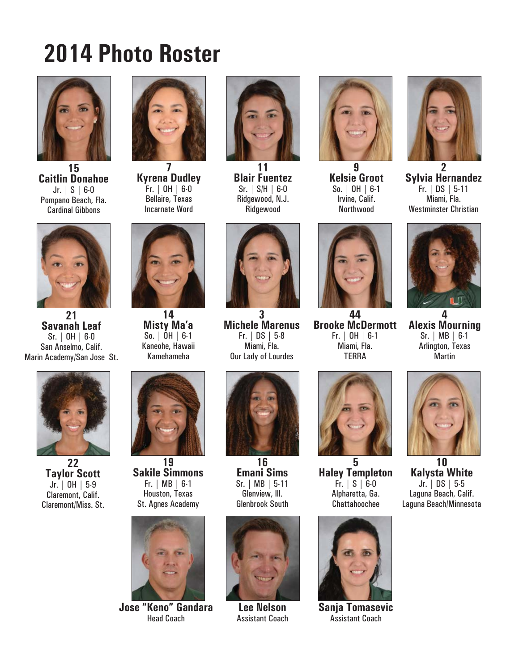## **2014 Photo Roster**



**15 Caitlin Donahoe** Jr. | S | 6-0 Pompano Beach, Fla. Cardinal Gibbons



**Kyrena Dudley** Fr. | OH | 6-0 Bellaire, Texas Incarnate Word



**11 Blair Fuentez** Sr. | S/H | 6-0 Ridgewood, N.J. Ridgewood



**9 Kelsie Groot** So. | OH | 6-1 Irvine, Calif. Northwood



**2 Sylvia Hernandez** Fr. | DS | 5-11 Miami, Fla. Westminster Christian



**21 Savanah Leaf** Sr. | OH | 6-0 San Anselmo, Calif. Marin Academy/San Jose St.



**22 Taylor Scott** Jr. | OH | 5-9 Claremont, Calif. Claremont/Miss. St.



**14 Misty Ma'a** So. | OH | 6-1 Kaneohe, Hawaii Kamehameha



**19 Sakile Simmons** Fr. | MB | 6-1 Houston, Texas St. Agnes Academy



**Jose "Keno" Gandara** Head Coach

**3 Michele Marenus** Fr. | DS | 5-8 Miami, Fla. Our Lady of Lourdes



**16 Emani Sims** Sr. | MB | 5-11 Glenview, Ill. Glenbrook South



**Lee Nelson** Assistant Coach



**44 Brooke McDermott** Fr. | OH | 6-1 Miami, Fla. **TFRRA** 



**5 Haley Templeton** Fr. | S | 6-0 Alpharetta, Ga. Chattahoochee



**Sanja Tomasevic** Assistant Coach



**4 Alexis Mourning**

 $\blacksquare$ 



**10 Kalysta White** Jr. | DS | 5-5 Laguna Beach, Calif. Laguna Beach/Minnesota